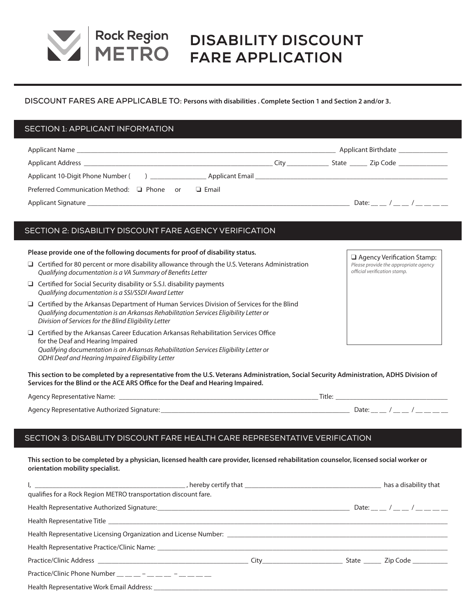

# **DISABILITY DISCOUNT FARE APPLICATION**

### **DISCOUNT FARES ARE APPLICABLE TO: Persons with disabilities . Complete Section 1 and Section 2 and/or 3.**

# SECTION 1: APPLICANT INFORMATION

| <b>Applicant Name</b>                                                                                                                                                                                                          |                                                                                                                 | Applicant Birthdate                                                                                                                                                                                                                  |
|--------------------------------------------------------------------------------------------------------------------------------------------------------------------------------------------------------------------------------|-----------------------------------------------------------------------------------------------------------------|--------------------------------------------------------------------------------------------------------------------------------------------------------------------------------------------------------------------------------------|
| Applicant Address and the contract of the contract of the contract of the contract of the contract of the contract of the contract of the contract of the contract of the contract of the contract of the contract of the cont | City in the control of the control of the control of the control of the control of the control of the control o | State Zip Code                                                                                                                                                                                                                       |
| Applicant 10-Digit Phone Number () _______________                                                                                                                                                                             |                                                                                                                 | Applicant Email <b>Executive Service Service Service Service Service Service Service Service Service Service Service Service Service Service Service Service Service Service Service Service Service Service Service Service Ser</b> |
| Preferred Communication Method: □ Phone or<br>$\Box$ Email                                                                                                                                                                     |                                                                                                                 |                                                                                                                                                                                                                                      |
| Applicant Signature<br><u> 1980 - Jan James James James James James James James James James James James James James James James James J</u>                                                                                    |                                                                                                                 | Date: $/$ /                                                                                                                                                                                                                          |

# SECTION 2: DISABILITY DISCOUNT FARE AGENCY VERIFICATION

#### **Please provide one of the following documents for proof of disability status.**

- $\Box$  Certified for 80 percent or more disability allowance through the U.S. Veterans Administration *Qualifying documentation is a VA Summary of Benefits Letter*
- $\Box$  Certified for Social Security disability or S.S.I. disability payments *Qualifying documentation is a SSI/SSDI Award Letter*
- $\Box$  Certified by the Arkansas Department of Human Services Division of Services for the Blind *Qualifying documentation is an Arkansas Rehabilitation Services Eligibility Letter or Division of Services for the Blind Eligibility Letter*
- $\Box$  Certified by the Arkansas Career Education Arkansas Rehabilitation Services Office for the Deaf and Hearing Impaired *Qualifying documentation is an Arkansas Rehabilitation Services Eligibility Letter or ODHI Deaf and Hearing Impaired Eligibility Letter*

**This section to be completed by a representative from the U.S. Veterans Administration, Social Security Administration, ADHS Division of Services for the Blind or the ACE ARS Office for the Deaf and Hearing Impaired.**

| Agency Representative Name:                 | Title: |
|---------------------------------------------|--------|
| Agency Representative Authorized Signature: | Date   |

# SECTION 3: DISABILITY DISCOUNT FARE HEALTH CARE REPRESENTATIVE VERIFICATION

**This section to be completed by a physician, licensed health care provider, licensed rehabilitation counselor, licensed social worker or orientation mobility specialist.**

| qualifies for a Rock Region METRO transportation discount fare.                  |  |                                   |
|----------------------------------------------------------------------------------|--|-----------------------------------|
|                                                                                  |  | Date: __ __ / __ __ / __ __ __ __ |
|                                                                                  |  |                                   |
|                                                                                  |  |                                   |
|                                                                                  |  |                                   |
|                                                                                  |  |                                   |
| Practice/Clinic Phone Number $\_\_\_\_\_$ - $\_\_\_\_\_$ - $\_\_\_$ - $\_\_\_\_$ |  |                                   |
|                                                                                  |  |                                   |

**Q** Agency Verification Stamp: *Please provide the appropriate agency official verification stamp.*